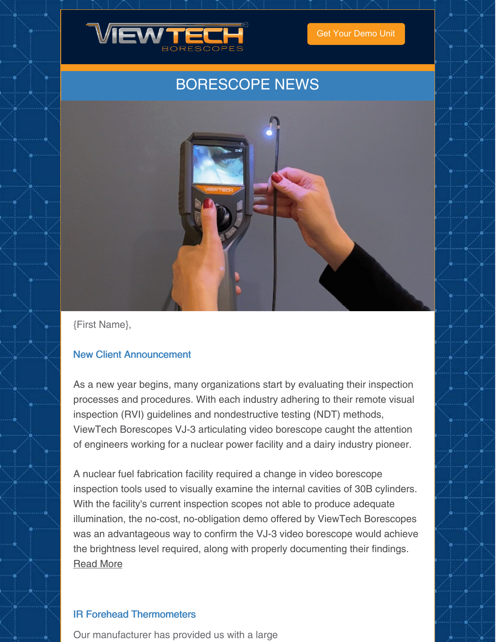

Get Your [Demo](https://www.viewtech.com/borescope-demo-offer/?utm_source=newsletter&utm_medium=email&utm_campaign=newsletter0221a) Unit

# BORESCOPE NEWS



{First Name},

#### New Client Announcement

As a new year begins, many organizations start by evaluating their inspection processes and procedures. With each industry adhering to their remote visual inspection (RVI) guidelines and nondestructive testing (NDT) methods, ViewTech Borescopes VJ-3 articulating video borescope caught the attention of engineers working for a nuclear power facility and a dairy industry pioneer.

A nuclear fuel fabrication facility required a change in video borescope inspection tools used to visually examine the internal cavities of 30B cylinders. With the facility's current inspection scopes not able to produce adequate illumination, the no-cost, no-obligation demo offered by ViewTech Borescopes was an advantageous way to confirm the VJ-3 video borescope would achieve the brightness level required, along with properly documenting their findings. [Read](https://www.viewtech.com/remote-visual-inspection-nondestructive-testing-tools-video-borescope-viewtech-borescopes/?utm_source=newsletter&utm_medium=email&utm_campaign=newsletter0221a) More

#### IR Forehead Thermometers

Our manufacturer has provided us with a large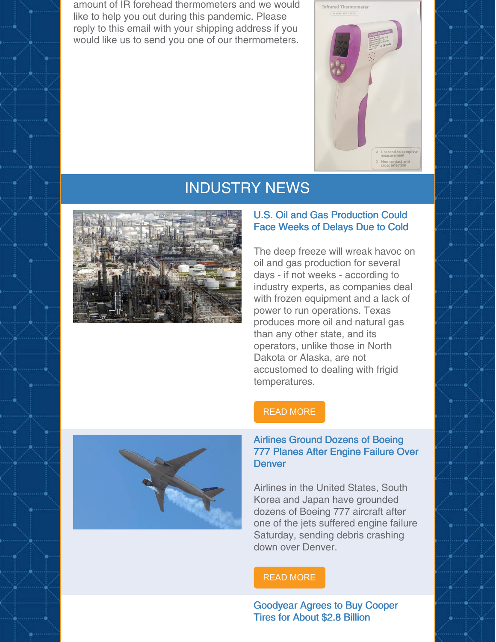amount of IR forehead thermometers and we would like to help you out during this pandemic. Please reply to this email with your shipping address if you would like us to send you one of our thermometers.



### INDUSTRY NEWS



#### U.S. Oil and Gas Production Could Face Weeks of Delays Due to Cold

The deep freeze will wreak havoc on oil and gas production for several days - if not weeks - according to industry experts, as companies deal with frozen equipment and a lack of power to run operations. Texas produces more oil and natural gas than any other state, and its operators, unlike those in North Dakota or Alaska, are not accustomed to dealing with frigid temperatures.





#### Airlines Ground Dozens of Boeing 777 Planes After Engine Failure Over **Denver**

Airlines in the United States, South Korea and Japan have grounded dozens of Boeing 777 aircraft after one of the jets suffered engine failure Saturday, sending debris crashing down over Denver.

#### READ [MORE](https://www.cnn.com/2021/02/21/us/boeing-777-airplanes-federal-aviation-administration/index.html)

Goodyear Agrees to Buy Cooper Tires for About \$2.8 Billion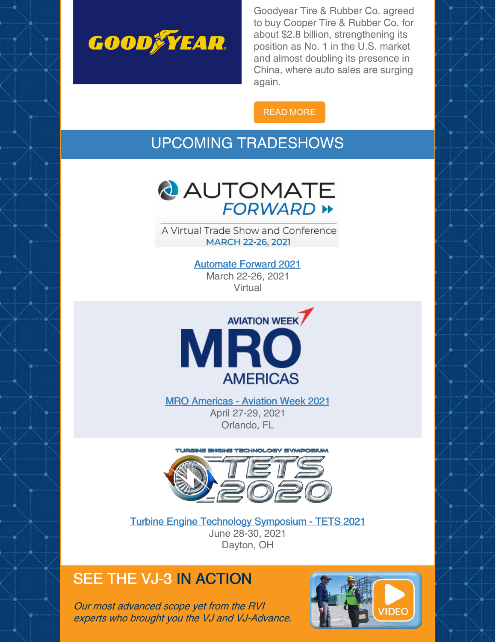

Goodyear Tire & Rubber Co. agreed to buy Cooper Tire & Rubber Co. for about \$2.8 billion, strengthening its position as No. 1 in the U.S. market and almost doubling its presence in China, where auto sales are surging again.

READ [MORE](https://finance.yahoo.com/news/goodyear-agrees-buy-cooper-tire-122807074.html)

## UPCOMING TRADESHOWS



A Virtual Trade Show and Conference **MARCH 22-26, 2021** 

> [Automate](https://www.viewtech.com/about-us/tradeshows/automate-forward-2021/?utm_source=newsletter&utm_medium=email&utm_campaign=newsletter0221a) Forward 2021 March 22-26, 2021 Virtual



MRO [Americas](https://www.viewtech.com/about-us/tradeshows/mro-americas-aviation-week-2021/?utm_source=newsletter&utm_medium=email&utm_campaign=newsletter0221a) - Aviation Week 2021 April 27-29, 2021 Orlando, FL



Turbine Engine Technology [Symposium](https://www.viewtech.com/about-us/tradeshows/turbine-engine-technology-symposium-tets-2021/?utm_source=newsletter&utm_medium=email&utm_campaign=newsletter0221a) - TETS 2021 June 28-30, 2021 Dayton, OH

# SEE THE VJ-3 IN ACTION

Our most advanced scope yet from the RVI experts who brought you the VJ and VJ-Advance.